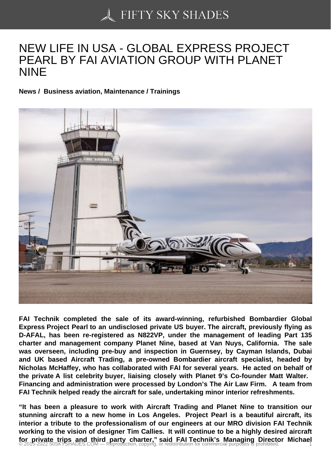## [NEW LIFE IN USA - G](https://50skyshades.com)LOBAL EXPRESS PROJECT PEARL BY FAI AVIATION GROUP WITH PLANET NINE

News / Business aviation, Maintenance / Trainings

FAI Technik completed the sale of its award-winning, refurbished Bombardier Global Express Project Pearl to an undisclosed private US buyer. The aircraft, previously flying as D-AFAL, has been re-registered as N822VP, under the management of leading Part 135 charter and management company Planet Nine, based at Van Nuys, California. The sale was overseen, including pre-buy and inspection in Guernsey, by Cayman Islands, Dubai and UK based Aircraft Trading, a pre-owned Bombardier aircraft specialist, headed by Nicholas McHaffey, who has collaborated with FAI for several years. He acted on behalf of the private A list celebrity buyer, liaising closely with Planet 9's Co-founder Matt Walter. Financing and administration were processed by London's The Air Law Firm. A team from FAI Technik helped ready the aircraft for sale, undertaking minor interior refreshments.

"It has been a pleasure to work with Aircraft Trading and Planet Nine to transition our stunning aircraft to a new home in Los Angeles. Project Pearl is a beautiful aircraft, its interior a tribute to the professionalism of our engineers at our MRO division FAI Technik working to the vision of designer Tim Callies. It will continue to be a highly desired aircraft for private trips and third party charter," said FAI Technik's Managing Director Michael<br>© 2015-2022 50SKYSHADES.COM — Reproduction, copying, or redistribution for commercial purposes is prohibited.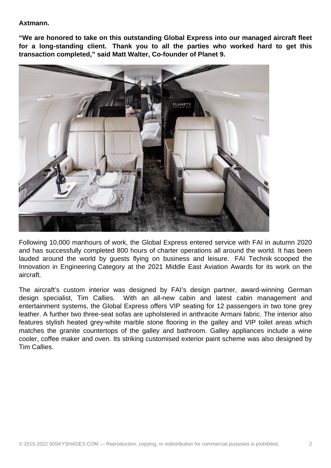## **Axtmann.**

**"We are honored to take on this outstanding Global Express into our managed aircraft fleet for a long-standing client. Thank you to all the parties who worked hard to get this transaction completed," said Matt Walter, Co-founder of Planet 9.**



Following 10,000 manhours of work, the Global Express entered service with FAI in autumn 2020 and has successfully completed 800 hours of charter operations all around the world. It has been lauded around the world by guests flying on business and leisure. FAI Technik scooped the Innovation in Engineering Category at the 2021 Middle East Aviation Awards for its work on the aircraft.

The aircraft's custom interior was designed by FAI's design partner, award-winning German design specialist, Tim Callies. With an all-new cabin and latest cabin management and entertainment systems, the Global Express offers VIP seating for 12 passengers in two tone grey leather. A further two three-seat sofas are upholstered in anthracite Armani fabric. The interior also features stylish heated grey-white marble stone flooring in the galley and VIP toilet areas which matches the granite countertops of the galley and bathroom. Galley appliances include a wine cooler, coffee maker and oven. Its striking customised exterior paint scheme was also designed by Tim Callies.